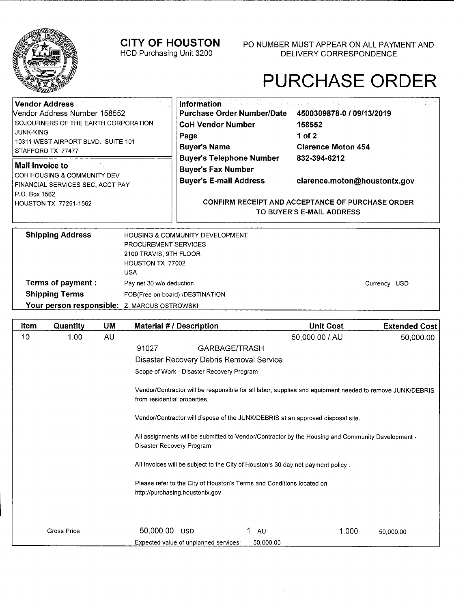

# PURCHASE ORDER

| <b>Vendor Address</b><br>Nendor Address Number 158552<br>SOJOURNERS OF THE EARTH CORPORATION<br><b>JUNK-KING</b><br>10311 WEST AIRPORT BLVD. SUITE 101<br>STAFFORD TX 77477 |                                                                                                                     | <b>Information</b><br><b>Purchase Order Number/Date</b><br><b>CoH Vendor Number</b><br>Page<br><b>Buyer's Name</b> | 4500309878-0 / 09/13/2019<br>158552<br>1 of 2<br><b>Clarence Moton 454</b>                                                           |  |
|-----------------------------------------------------------------------------------------------------------------------------------------------------------------------------|---------------------------------------------------------------------------------------------------------------------|--------------------------------------------------------------------------------------------------------------------|--------------------------------------------------------------------------------------------------------------------------------------|--|
| Mail Invoice to<br>COH HOUSING & COMMUNITY DEV<br>FINANCIAL SERVICES SEC, ACCT PAY<br>P.O. Box 1562<br>HOUSTON TX 77251-1562                                                |                                                                                                                     | <b>Buyer's Telephone Number</b><br><b>Buyer's Fax Number</b><br><b>Buyer's E-mail Address</b>                      | 832-394-6212<br>clarence.moton@houstontx.gov<br><b>CONFIRM RECEIPT AND ACCEPTANCE OF PURCHASE ORDER</b><br>TO BUYER'S E-MAIL ADDRESS |  |
| <b>Shipping Address</b><br>Terms of payment :<br><b>Shipping Terms</b>                                                                                                      | <b>PROCUREMENT SERVICES</b><br>2100 TRAVIS, 9TH FLOOR<br>HOUSTON TX 77002<br><b>USA</b><br>Pay net 30 w/o deduction | HOUSING & COMMUNITY DEVELOPMENT<br>FOB(Free on board) /DESTINATION                                                 | Currency USD                                                                                                                         |  |

Your person responsible: **Z. MARCUS OSTROWSKI** 

| Item | Quantity           | UM | <b>Material # / Description</b>                                                                                                          |                                          | <b>Unit Cost</b> | <b>Extended Cost</b> |
|------|--------------------|----|------------------------------------------------------------------------------------------------------------------------------------------|------------------------------------------|------------------|----------------------|
| 10   | 1.00               | AU |                                                                                                                                          |                                          | 50,000.00 / AU   | 50,000.00            |
|      |                    |    | 91027                                                                                                                                    | GARBAGE/TRASH                            |                  |                      |
|      |                    |    |                                                                                                                                          | Disaster Recovery Debris Removal Service |                  |                      |
|      |                    |    | Scope of Work - Disaster Recovery Program                                                                                                |                                          |                  |                      |
|      |                    |    | Vendor/Contractor will be responsible for all labor, supplies and equipment needed to remove JUNK/DEBRIS<br>from residential properties. |                                          |                  |                      |
|      |                    |    | Vendor/Contractor will dispose of the JUNK/DEBRIS at an approved disposal site.                                                          |                                          |                  |                      |
|      |                    |    | - All assignments will be submitted to Vendor/Contractor by the Housing and Community Development<br>Disaster Recovery Program           |                                          |                  |                      |
|      |                    |    | All Invoices will be subject to the City of Houston's 30 day net payment policy.                                                         |                                          |                  |                      |
|      |                    |    | Please refer to the City of Houston's Terms and Conditions located on<br>http://purchasing.houstontx.gov                                 |                                          |                  |                      |
|      |                    |    |                                                                                                                                          |                                          |                  |                      |
|      | <b>Gross Price</b> |    | 50,000.00<br><b>USD</b>                                                                                                                  | AU                                       | 1.000            | 50.000.00            |
|      |                    |    | Expected value of unplanned services:                                                                                                    | 50,000.00                                |                  |                      |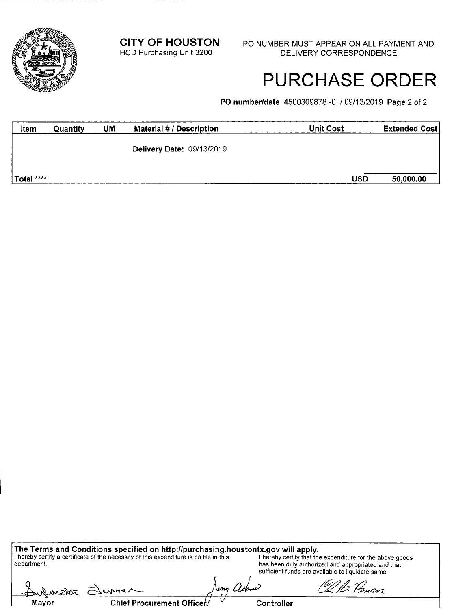**CITY OF HOUSTON** PO NUMBER MUST APPEAR ON ALL PAYMENT AND HCD Purchasing Unit 3200 DELIVERY CORRESPONDENCE

## PURCHASE ORDER

b *Perovi* 

**P0 number/date** 4500309878-0 / 09/13/2019 **Page** 2 of 2

| Item       | Quantity | UM | Material # / Description         | <b>Unit Cost</b> | <b>Extended Cost</b> |
|------------|----------|----|----------------------------------|------------------|----------------------|
|            |          |    | <b>Delivery Date: 09/13/2019</b> |                  |                      |
| Total **** |          |    |                                  | <b>USD</b>       | 50,000.00            |

**The Terms and Conditions specified on http:/Ipurchasing.houstontx.govwill apply.**  I hereby certify a certificate of the necessity of this expenditure is on file in this **I hereby certify that the expenditure for the above goods** department, has been duly authorized and appropriated and that sufficient funds are available to liquidate same.

ny ach max Chief Procurement Officer www **Controller**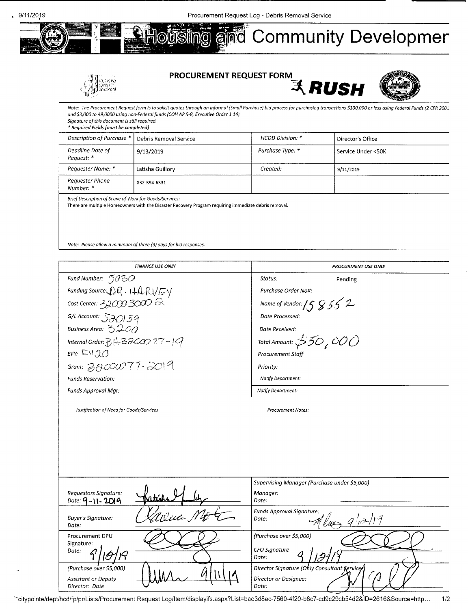

### **PROCUREMENT REQUEST FORM**



Note: The Procurement Request form is to solicit quotes through an informal (Small Purchase) bid process for purchasing transactions \$100,000 or less using Federal Funds (2 CFR 200.) and *\$3,000* to *49,0000* using non-Federolfunds (COH AP *5-8,* Executive Order *1.14).*  Signature of this document is still required. \* Required Fields [must be completed] Description of Purchase \* Debris Removal Service **HCDD** Division: \* Director's Office Deadline Date of Request: \* 9/13/2019 Purchase Type: \* Service Under <50K Requester Name: \* Latisha Guillory Letter Created: Sequester Name: \* Sequester Name: \* Sequester Name: \* Sequester Name: \$111/2019 Requester Phone Number: \* **832-394-6331** 

Brief Description of Scope of Work for Goods/Services:

There are multiple Homeowners with the Disaster Recovery Program requiring immediate debris removal.

Note: Please allow a minimum of three (3) days for bid responses.

| <b>FINANCE USE ONLY</b>                                                          | <b>PROCURMENT USE ONLY</b>                                                           |
|----------------------------------------------------------------------------------|--------------------------------------------------------------------------------------|
| Fund Number: $5030$                                                              | Status:<br>Pending                                                                   |
| Funding Source: $\mathcal{L}R \cdot 1 + \mathcal{L}R \vee \mathcal{L} \vee \vee$ | Purchase Order No#:                                                                  |
| Cost Center: $300300$                                                            | Name of Vendor: $/58552$                                                             |
| $G/L$ Account: $570159$                                                          | Date Processed:                                                                      |
| Business Area: $3200$                                                            | Date Received:                                                                       |
| Internal Order: $B \stackrel{\wedge}{\mapsto}$ 32COO 77 - 19                     | Total Amount: $$50,000$                                                              |
| BFY: $FY30$                                                                      | Procurement Staff                                                                    |
| Grant: $3000077.2019$                                                            | Priority:                                                                            |
| Funds Reservation:                                                               | Notify Department:                                                                   |
| Funds Approval Mar:                                                              | Notify Department:                                                                   |
|                                                                                  |                                                                                      |
|                                                                                  | Supervising Manager (Purchase under \$5,000)                                         |
| Requestors Signature:<br>Date: $9 - 11 - 2019$                                   | Manager:<br>Date:                                                                    |
| Ulua M <del>e</del><br><b>Buyer's Signature:</b><br>Date:                        | <b>Funds Approval Signature:</b><br>$\mathcal{A}$ llu $\rightarrow$ 9/12/19<br>Date: |
| Procurement DPU<br>Signature:<br>Date:                                           | (Purchase over \$5,000)<br><b>CFO Signature</b><br>Date:                             |
| (Purchase over \$5,000)<br><b>Assistant or Deputy</b><br>Director: Date          | Director Signature (Ohly Consultant Services)<br>Director or Designee:<br>Date:      |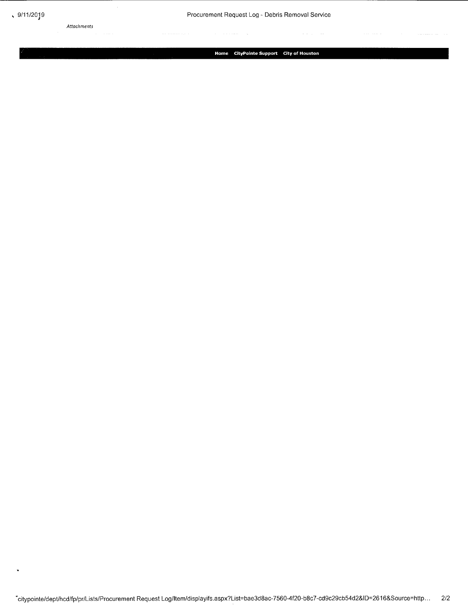Attachments

**Home CityPointe Support City of Houston**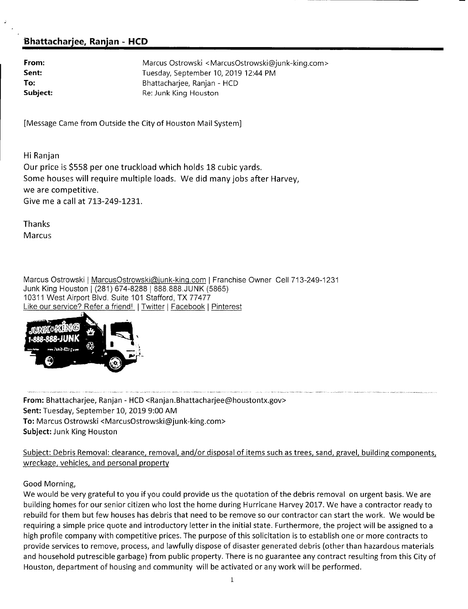### **l3hattacharjee, Ranjan** - **HCD**

| From:    |
|----------|
| Sent:    |
| To:      |
| Subject: |

**From:** Marcus Ostrowski <MarcusOstrowski@junk-king.com> **Sent:** Tuesday, September 10, 2019 12:44 PM Bhattachariee, Ranian - HCD **Subject:** Re: Junk King Houston

[Message Came from Outside the City of Houston Mail System]

Hi Ranjan Our price is \$558 per one truckload which holds 18 cubic yards. Some houses will require multiple loads. We did many jobs after Harvey, we are competitive. Give me a call at 713-249-1231.

Thanks **Marcus** 

Marcus Ostrowski | MarcusOstrowski@junk-king.com | Franchise Owner Cell 713-249-1231 Junk King Houston 1(281) 674-8288 I 888.888.JUNK (5865) 10311 West Airport Blvd. Suite 101 Stafford, TX 77477 Like our service? Refer a friend! | Twitter | Facebook | Pinterest



**From:** Bhattacharjee, Ranjan - HCD <Ranjan.Bhattacharjee@houstontx.gov> Sent: Tuesday, September 10, 2019 9:00 AM To: Marcus Ostrowski <MarcusOstrowski@junk-king.com> Subject: Junk King Houston

Subject: Debris Removal: clearance, removal, and/or disposal of items such as trees, sand, gravel, building components, wreckage, vehicles, and personal property

Good Morning,

We would be very grateful to you if you could provide us the quotation of the debris removal on urgent basis. We are building homes for our senior citizen who lost the home during Hurricane Harvey 2017. We have a contractor ready to rebuild for them but few houses has debris that need to be remove so our contractor can start the work. We would be requiring a simple price quote and introductory letter in the initial state. Furthermore, the project will be assigned to a high profile company with competitive prices. The purpose of this solicitation is to establish one or more contracts to provide services to remove, process, and lawfully dispose of disaster generated debris (other than hazardous materials and household putrescible garbage) from public property. There is no guarantee any contract resulting from this City of Houston, department of housing and community will be activated or any work will be performed.